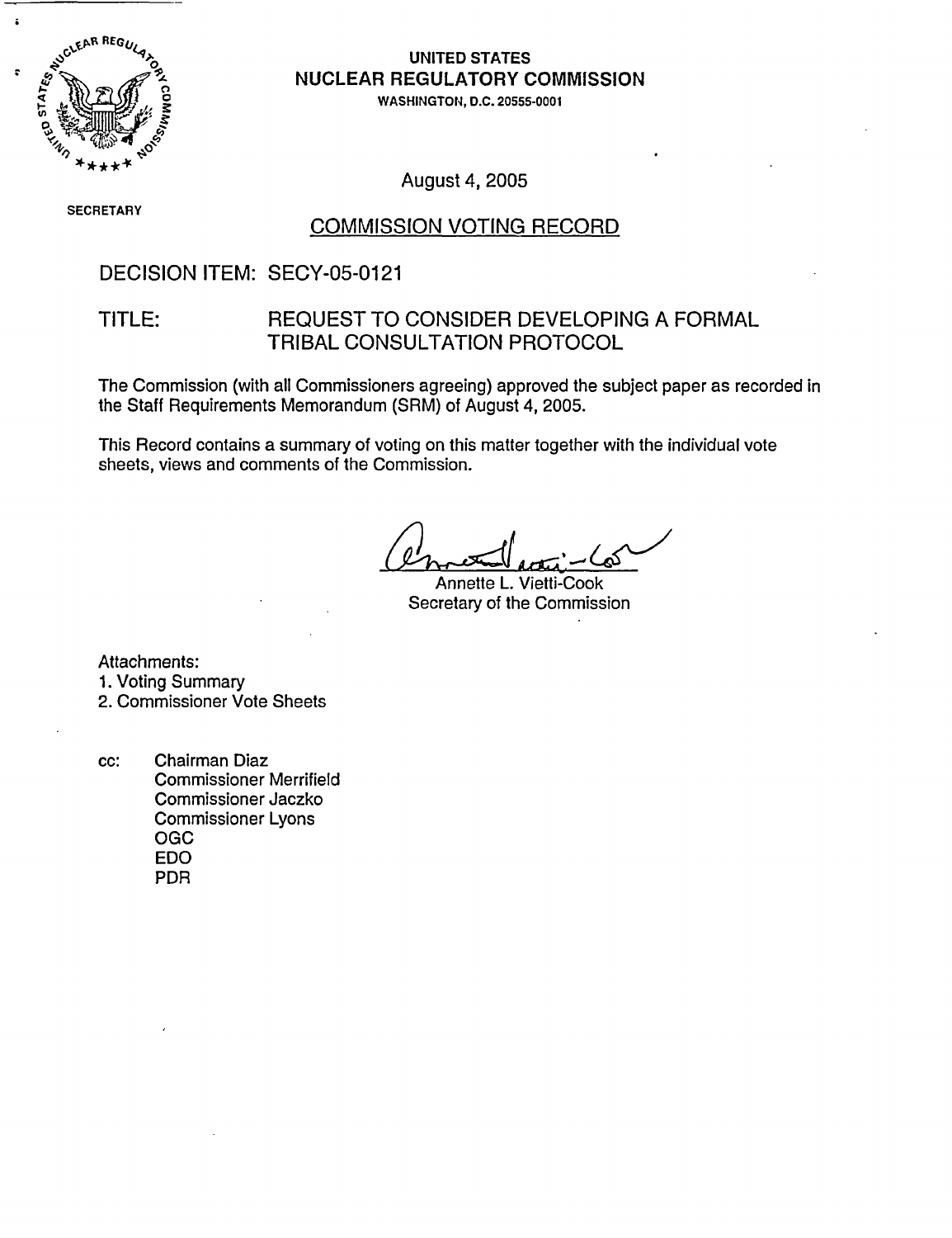

#### UNITED STATES **NUCLEAR REGULATORY COMMISSION**

WASHINGTON, D.C. 20555-0001

SECRETARY

#### August 4, 2005

#### COMMISSION VOTING RECORD

#### DECISION ITEM: SECY-05-0121

#### TITLE: REQUEST TO CONSIDER DEVELOPING A FORMAL TRIBAL CONSULTATION PROTOCOL

The Commission (with all Commissioners agreeing) approved the subject paper as recorded in the Staff Requirements Memorandum (SRM) of August 4, 2005.

This Record contains a summary of voting on this matter together with the individual vote sheets, views and comments of the Commission.

Annette L. Vietti-Cook Secretary of the Commission

Attachments:

1. Voting Summary

2. Commissioner Vote Sheets

cc: Chairman Diaz Commissioner Merrifield Commissioner Jaczko Commissioner Lyons OGC EDO PDR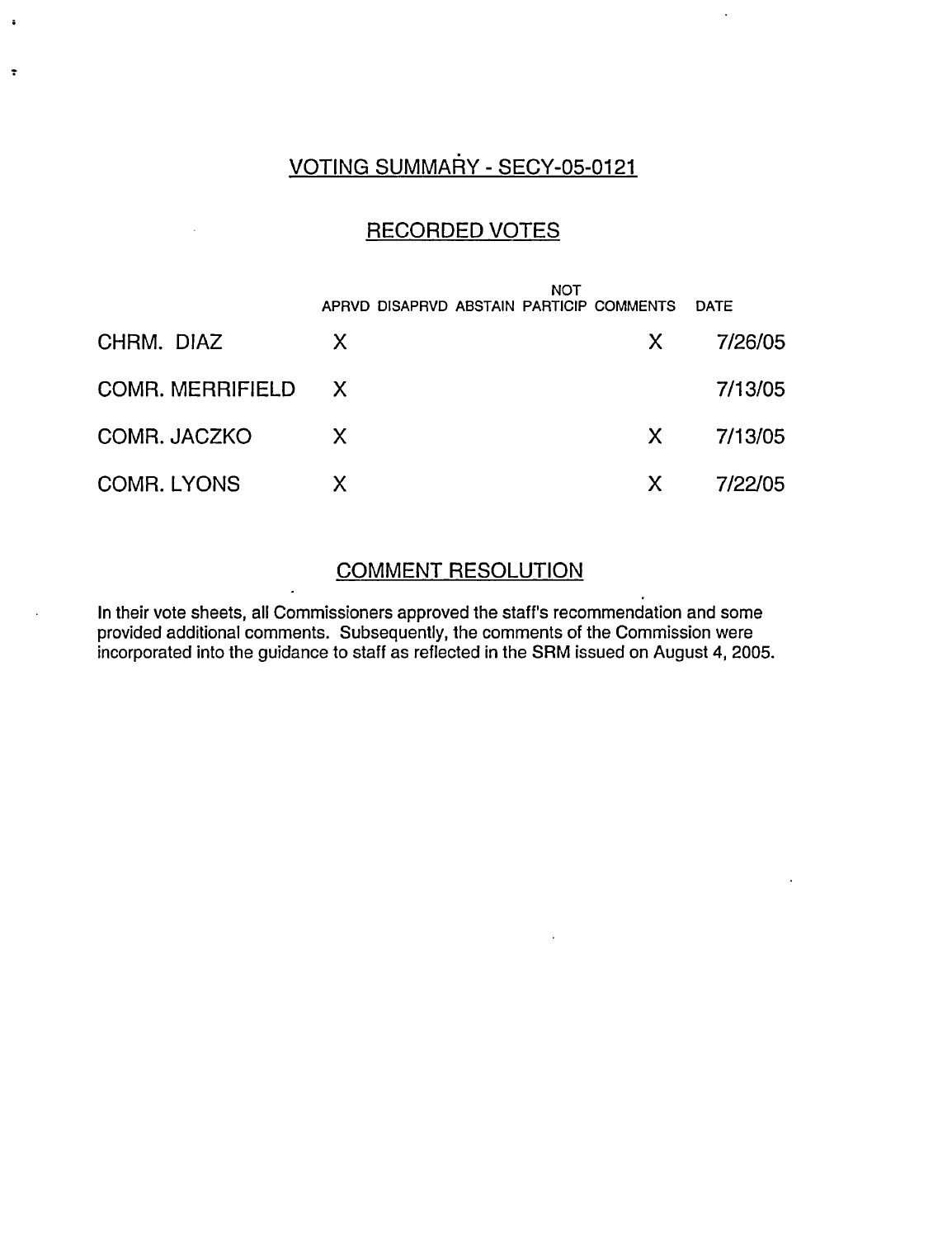## VOTING SUMMARY - SECY-05-0121

 $\ddot{\cdot}$ 

#### RECORDED VOTES

|                    | <b>NOT</b><br>APRVD DISAPRVD ABSTAIN PARTICIP COMMENTS |    | <b>DATE</b> |
|--------------------|--------------------------------------------------------|----|-------------|
| CHRM. DIAZ         | X                                                      | X. | 7/26/05     |
| COMR. MERRIFIELD X |                                                        |    | 7/13/05     |
| COMR. JACZKO       | X.                                                     | X. | 7/13/05     |
| <b>COMR. LYONS</b> | X                                                      | X. | 7/22/05     |

### COMMENT RESOLUTION

In their vote sheets, all Commissioners approved the staff's recommendation and some provided additional comments. Subsequently, the comments of the Commission were incorporated into the guidance to staff as reflected in the SRM issued on August 4, 2005.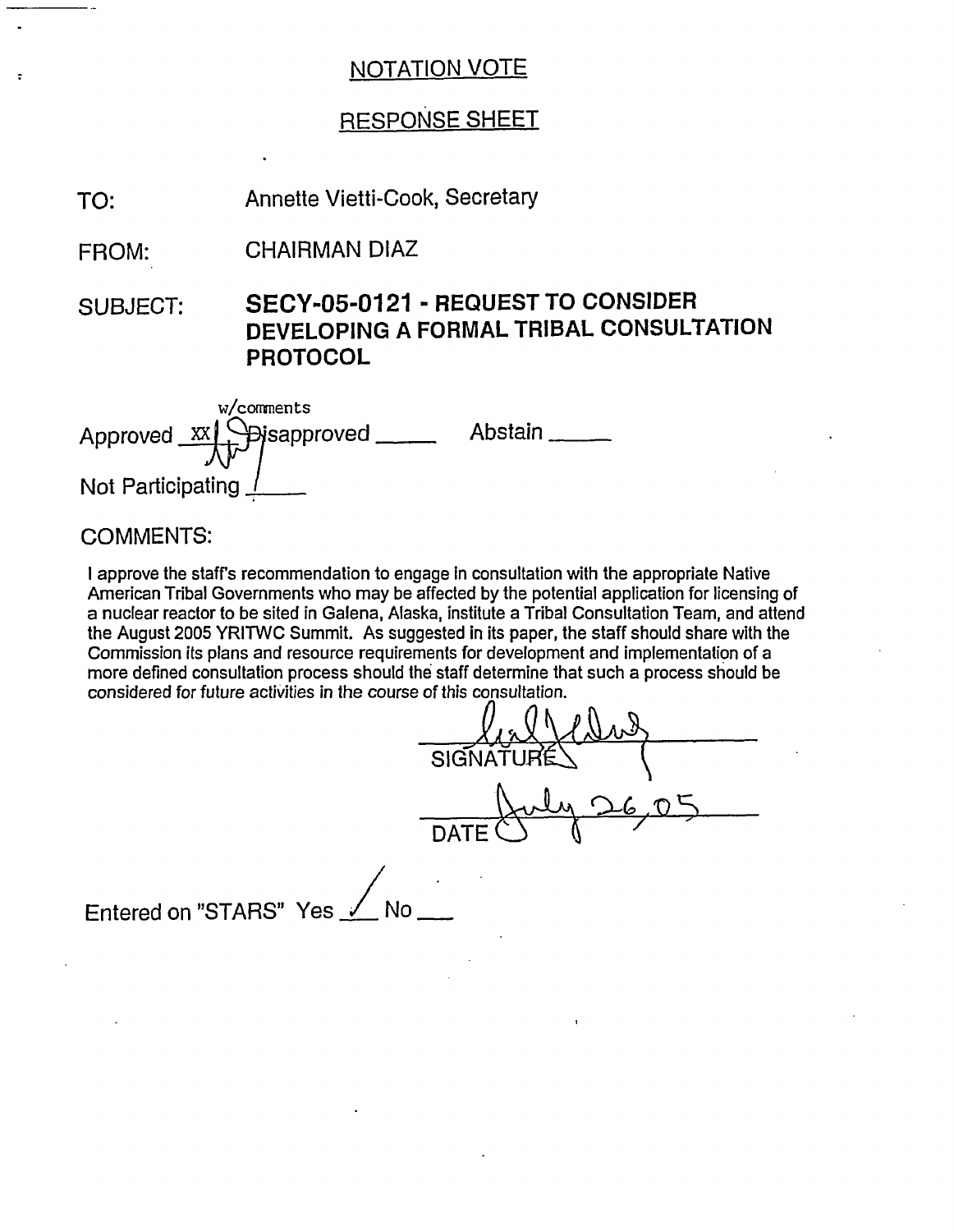## RESPONSE SHEET

Annette Vietti-Cook, Secretary TO:

CHAIRMAN DIAZ FROM:

SUBJECT: **SECY-05-0121** - **REQUEST TO CONSIDER DEVELOPING A FORMAL TRIBAL CONSULTATION PROTOCOL**

| w/comments<br>Approved $\frac{xx}{x}$ Spisapproved | Abstain |
|----------------------------------------------------|---------|
| Not Participating                                  |         |

#### COMMENTS:

I approve the staffs recommendation to engage In consultation with the appropriate Native American Tribal Governments who may be affected by the potential application for licensing of a nuclear reactor to be sited in Galena, Alaska, institute a Tribal Consultation Team, and attend the August 2005 YRITWC Summit. As suggested in its paper, the staff should share with the Commission its plans and resource requirements for development and implementation of a more defined consultation process should the staff determine that such a process should be considered for future activities in the course of this consultation.

SIGNAT DATI

Entered on "STARS" Yes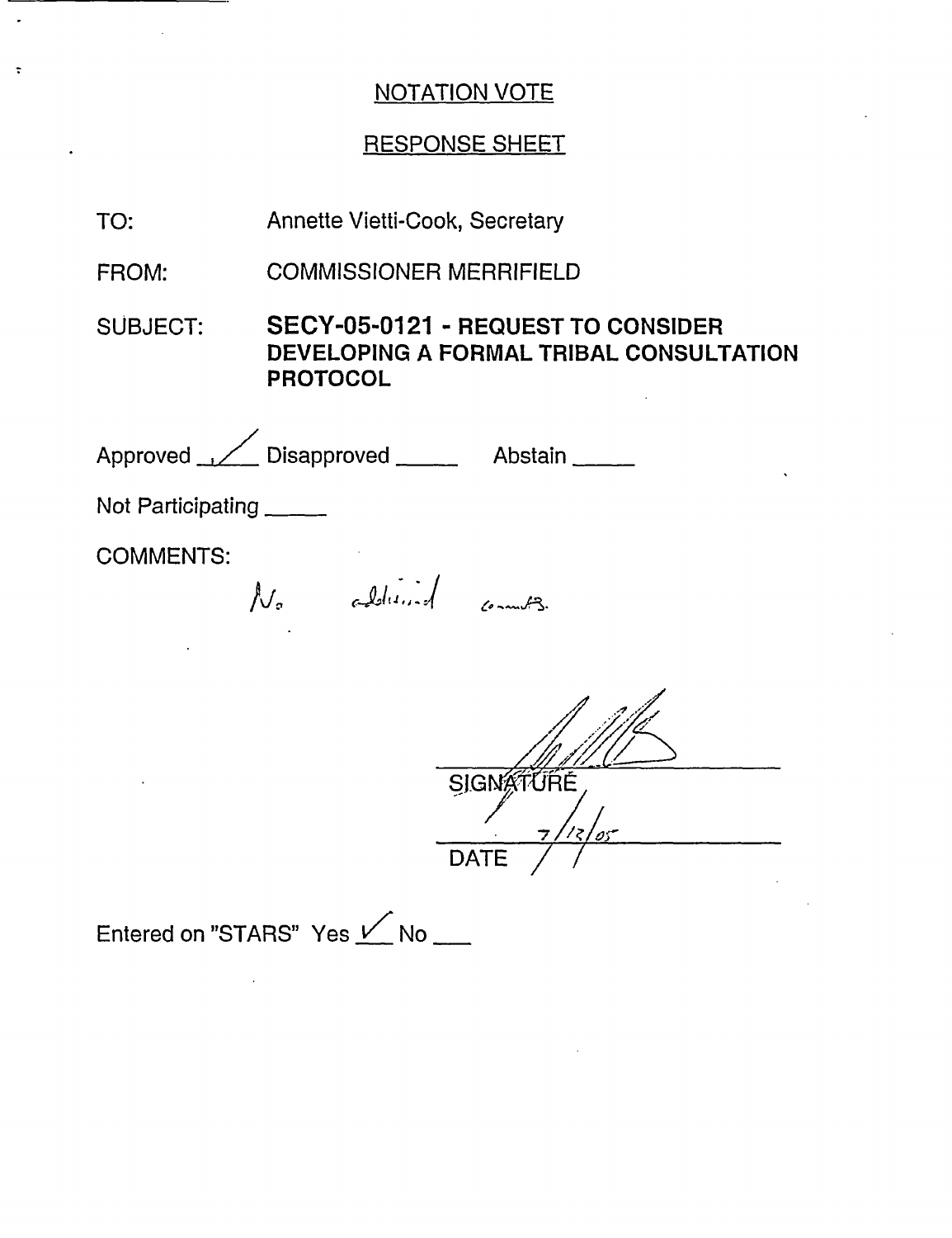$\ddot{\phantom{a}}$ 

 $\ddot{\phantom{a}}$ 

 $\ddot{\phantom{a}}$ 

## RESPONSE SHEET

| TO:               | <b>Annette Vietti-Cook, Secretary</b>                                                                   |  |
|-------------------|---------------------------------------------------------------------------------------------------------|--|
| FROM:             | <b>COMMISSIONER MERRIFIELD</b>                                                                          |  |
| SUBJECT:          | <b>SECY-05-0121 - REQUEST TO CONSIDER</b><br>DEVELOPING A FORMAL TRIBAL CONSULTATION<br><b>PROTOCOL</b> |  |
|                   | Approved Disapproved _______ Abstain _____                                                              |  |
| Not Participating |                                                                                                         |  |
| <b>COMMENTS:</b>  | No additional commets.                                                                                  |  |
|                   | SIGNATURE<br><b>DATE</b>                                                                                |  |
|                   | Entered on "STARS" Yes V No                                                                             |  |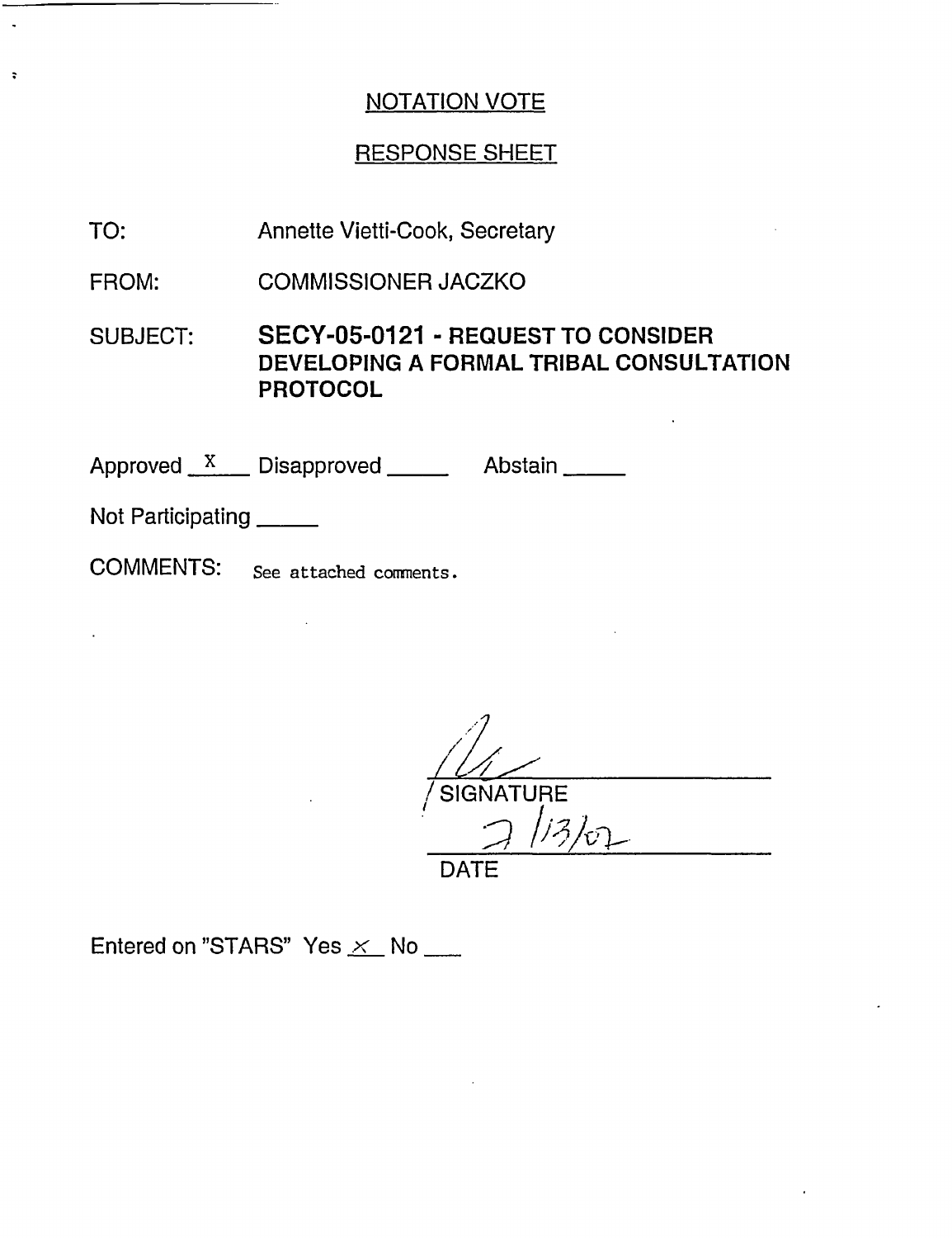#### RESPONSE SHEET

Annette Vietti-Cook, Secretary TO:

COMMISSIONER JACZKO FROM:

SUBJECT: SECY-05-0121 - REQUEST TO CONSIDER DEVELOPING A FORMAL TRIBAL CONSULTATION PROTOCOL

Approved  $X$  Disapproved  $\frac{X}{X}$  Abstain  $\frac{X}{X}$ 

Not Participating

 $\hat{\mathbf{r}}$ 

 $\ddot{\cdot}$ 

COMMENTS: See attached comnents.

 $\mathbb{R}^2$ 

 $1\mu$ / SIGNATURE **I** *;I V i* DATE

Entered on "STARS" Yes  $\times$  No \_\_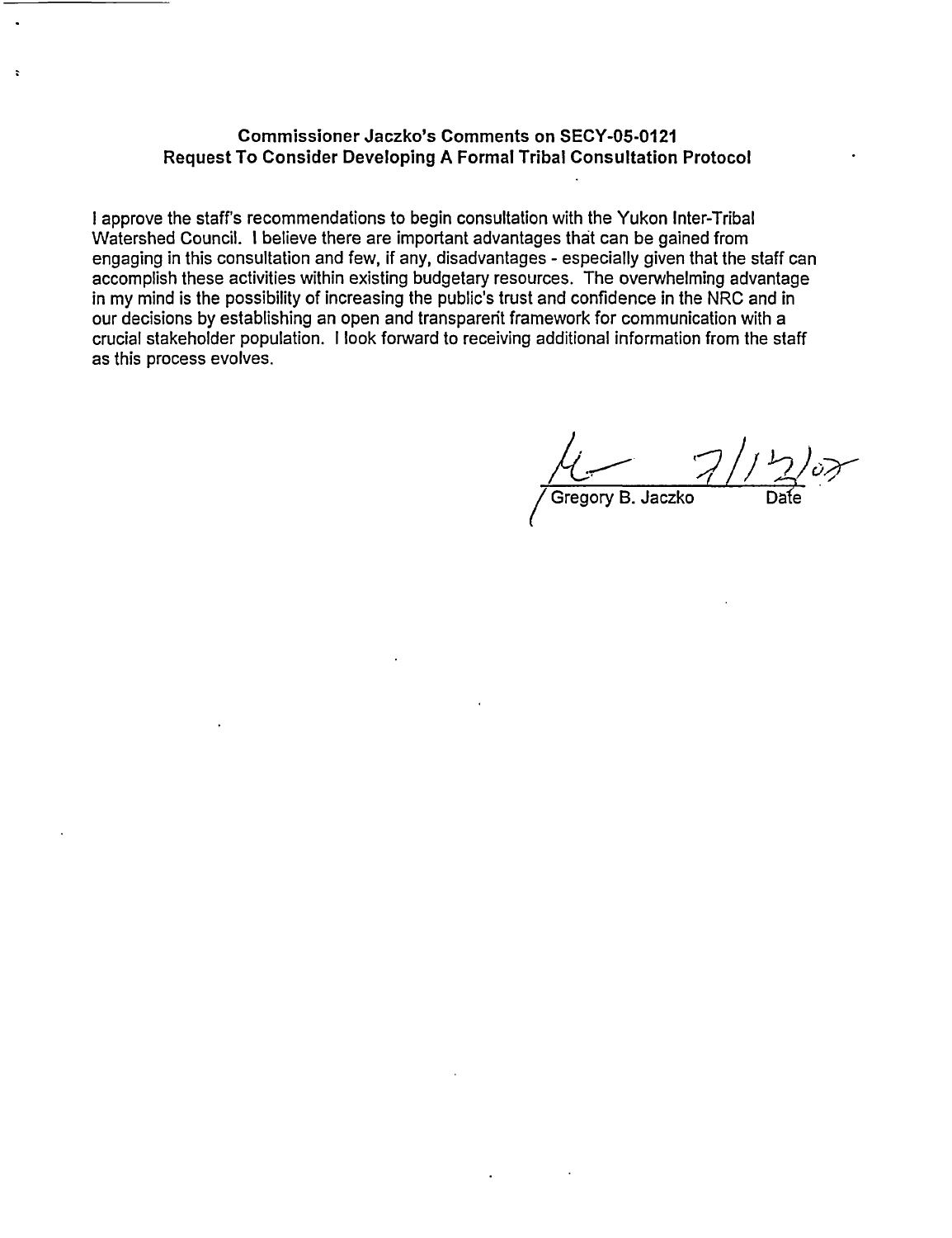#### **Commissioner Jaczko's Comments on** SECY-05-0121 **Request To Consider Developing A Formal Tribal Consultation Protocol**

 $\ddot{\phantom{a}}$ 

I approve the staff's recommendations to begin consultation with the Yukon Inter-Tribal Watershed Council. I believe there are important advantages that can be gained from engaging in this consultation and few, if any, disadvantages - especially given that the staff can accomplish these activities within existing budgetary resources. The overwhelming advantage in my mind is the possibility of increasing the public's trust and confidence in the NRC and in our decisions by establishing an open and transparent framework for communication with a crucial stakeholder population. I look forward to receiving additional information from the staff as this process evolves.

(Gregory B. Jaczko D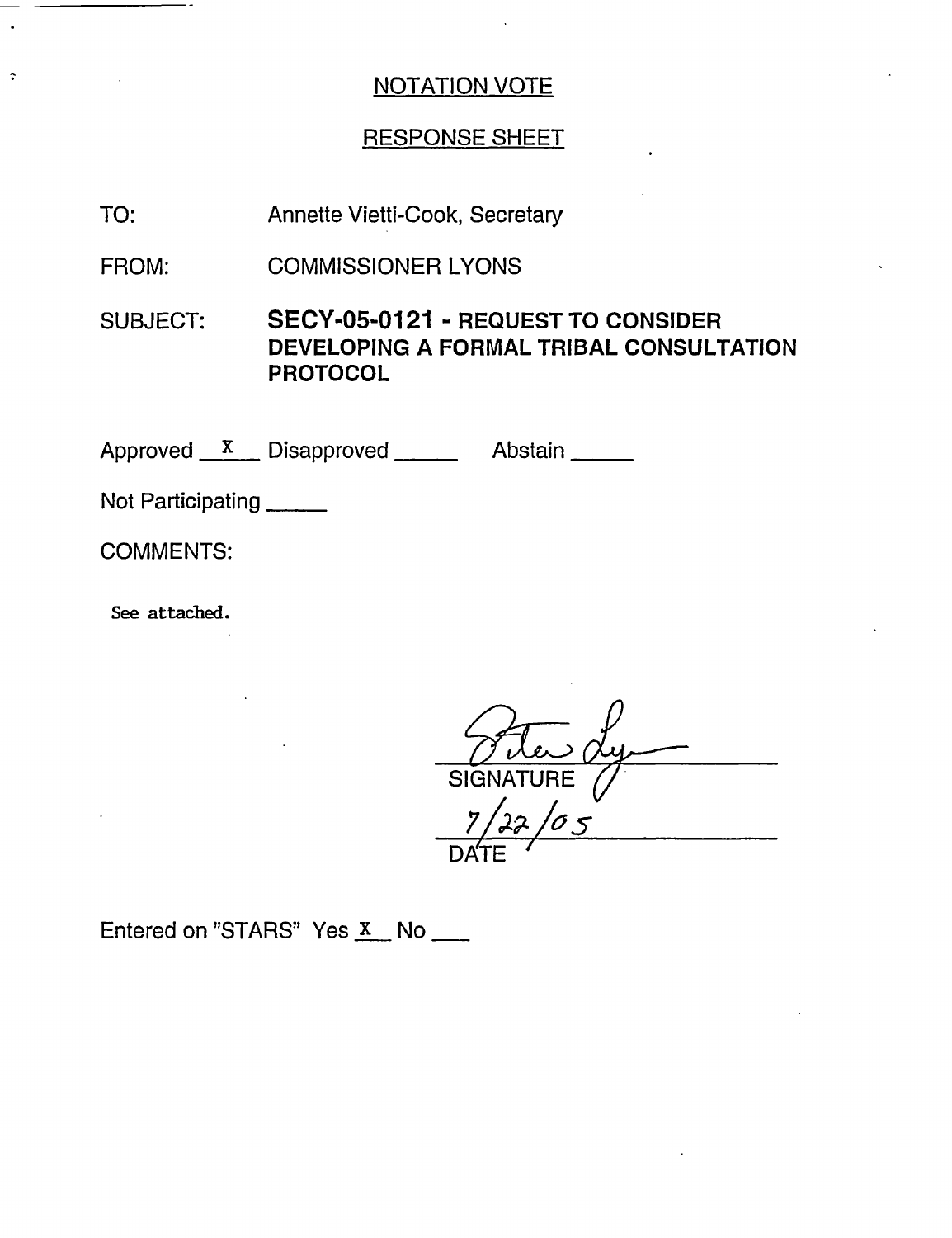#### RESPONSE SHEET

Annette Vietti-Cook, Secretary TO:

COMMISSIONER LYONS FROM:

SUBJECT: SECY-05-0121 - REQUEST TO CONSIDER DEVELOPING A FORMAL TRIBAL CONSULTATION PROTOCOL

Approved X Disapproved Abstair

Not Participating

COMMENTS:

 $\hat{\mathbf{v}}$ 

See attached.

SIGN *71.2s* /0  $dy -$ DATE '

Entered on "STARS" Yes  $X$  No \_\_\_